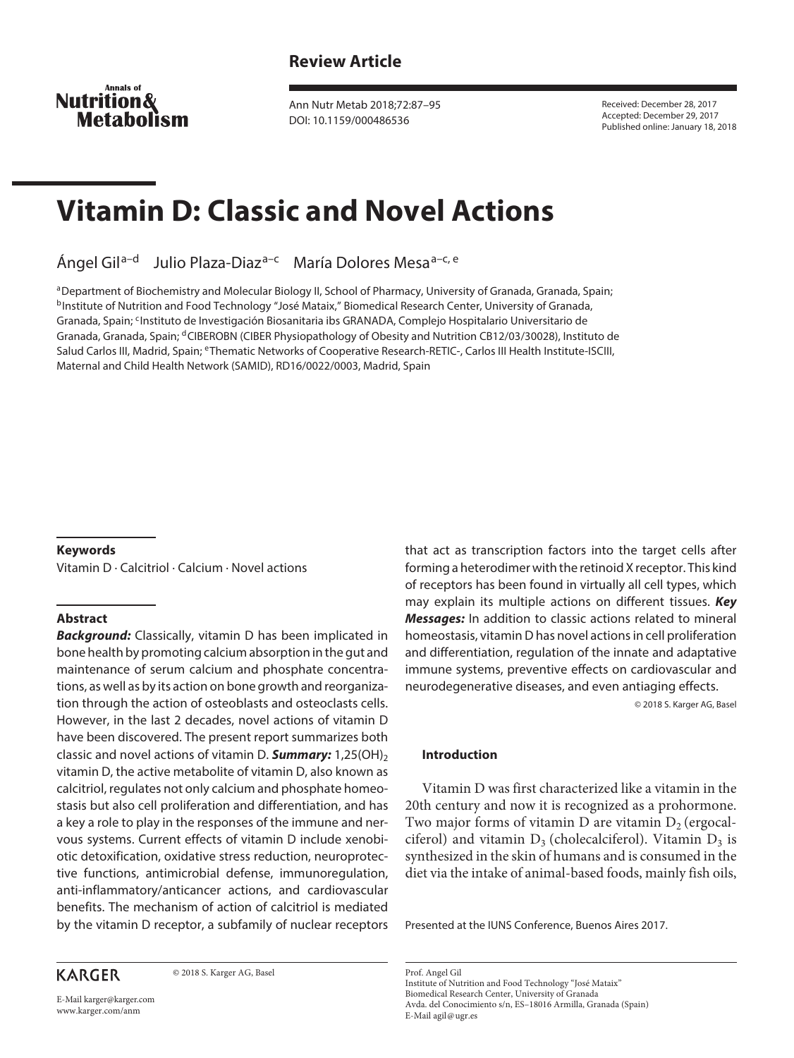

Ann Nutr Metab 2018;72:87–95 DOI: 10.1159/000486536

Received: December 28, 2017 Accepted: December 29, 2017 Published online: January 18, 2018

# **Vitamin D: Classic and Novel Actions**

Ángel Gil<sup>a–d</sup> Julio Plaza-Diaz<sup>a–c</sup> María Dolores Mesa<sup>a–c, e</sup>

aDepartment of Biochemistry and Molecular Biology II, School of Pharmacy, University of Granada, Granada, Spain; bInstitute of Nutrition and Food Technology "José Mataix," Biomedical Research Center, University of Granada, Granada, Spain; cInstituto de Investigación Biosanitaria ibs GRANADA, Complejo Hospitalario Universitario de Granada, Granada, Spain; dCIBEROBN (CIBER Physiopathology of Obesity and Nutrition CB12/03/30028), Instituto de Salud Carlos III, Madrid, Spain; eThematic Networks of Cooperative Research-RETIC-, Carlos III Health Institute-ISCIII, Maternal and Child Health Network (SAMID), RD16/0022/0003, Madrid, Spain

#### **Keywords**

Vitamin D · Calcitriol · Calcium · Novel actions

#### **Abstract**

*Background:* Classically, vitamin D has been implicated in bone health by promoting calcium absorption in the gut and maintenance of serum calcium and phosphate concentrations, as well as by its action on bone growth and reorganization through the action of osteoblasts and osteoclasts cells. However, in the last 2 decades, novel actions of vitamin D have been discovered. The present report summarizes both classic and novel actions of vitamin D. **Summary:** 1,25(OH)<sub>2</sub> vitamin D, the active metabolite of vitamin D, also known as calcitriol, regulates not only calcium and phosphate homeostasis but also cell proliferation and differentiation, and has a key a role to play in the responses of the immune and nervous systems. Current effects of vitamin D include xenobiotic detoxification, oxidative stress reduction, neuroprotective functions, antimicrobial defense, immunoregulation, anti-inflammatory/anticancer actions, and cardiovascular benefits. The mechanism of action of calcitriol is mediated by the vitamin D receptor, a subfamily of nuclear receptors

# **KARGER**

© 2018 S. Karger AG, Basel

E-Mail karger@karger.com www.karger.com/anm

that act as transcription factors into the target cells after forming a heterodimer with the retinoid X receptor. This kind of receptors has been found in virtually all cell types, which may explain its multiple actions on different tissues. *Key Messages:* In addition to classic actions related to mineral homeostasis, vitamin D has novel actions in cell proliferation and differentiation, regulation of the innate and adaptative immune systems, preventive effects on cardiovascular and neurodegenerative diseases, and even antiaging effects.

© 2018 S. Karger AG, Basel

#### **Introduction**

Vitamin D was first characterized like a vitamin in the 20th century and now it is recognized as a prohormone. Two major forms of vitamin D are vitamin  $D_2$  (ergocalciferol) and vitamin  $D_3$  (cholecalciferol). Vitamin  $D_3$  is synthesized in the skin of humans and is consumed in the diet via the intake of animal-based foods, mainly fish oils,

Presented at the IUNS Conference, Buenos Aires 2017.

Prof. Angel Gil Institute of Nutrition and Food Technology "José Mataix" Biomedical Research Center, University of Granada Avda. del Conocimiento s/n, ES–18016 Armilla, Granada (Spain) E-Mail agil@ugr.es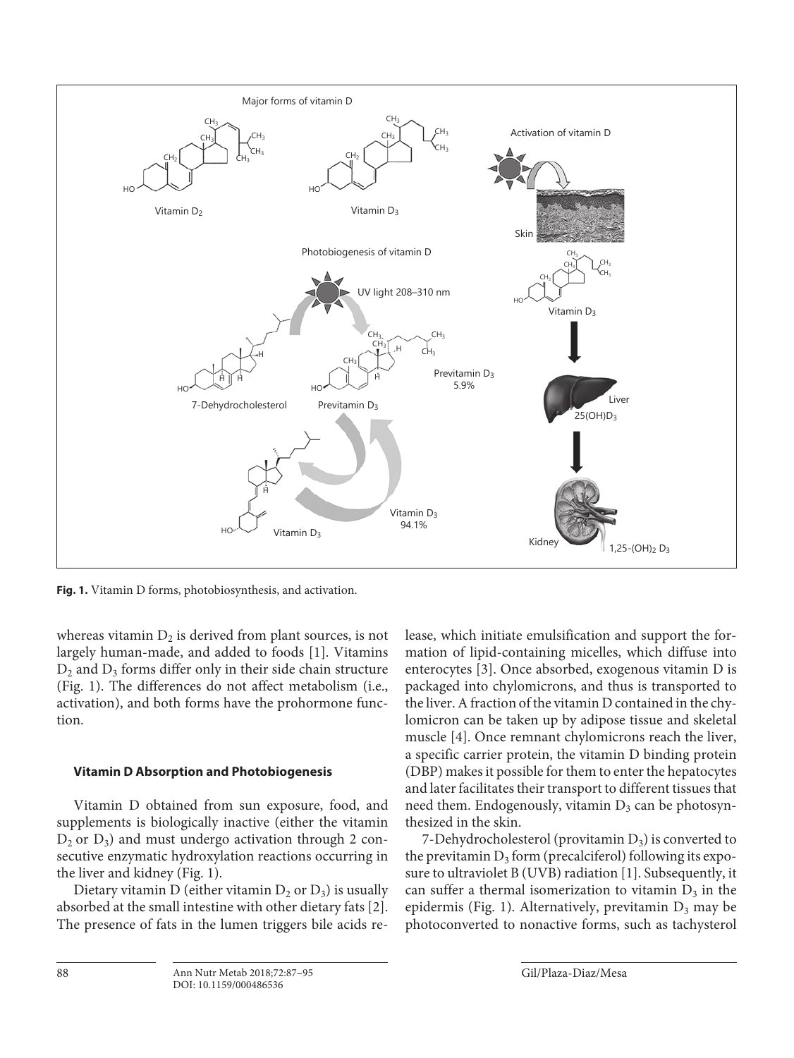

**Fig. 1.** Vitamin D forms, photobiosynthesis, and activation.

whereas vitamin  $D_2$  is derived from plant sources, is not largely human-made, and added to foods [1]. Vitamins  $D_2$  and  $D_3$  forms differ only in their side chain structure (Fig. 1). The differences do not affect metabolism (i.e., activation), and both forms have the prohormone function.

# **Vitamin D Absorption and Photobiogenesis**

Vitamin D obtained from sun exposure, food, and supplements is biologically inactive (either the vitamin  $D_2$  or  $D_3$ ) and must undergo activation through 2 consecutive enzymatic hydroxylation reactions occurring in the liver and kidney (Fig. 1).

Dietary vitamin D (either vitamin  $D_2$  or  $D_3$ ) is usually absorbed at the small intestine with other dietary fats [2]. The presence of fats in the lumen triggers bile acids release, which initiate emulsification and support the formation of lipid-containing micelles, which diffuse into enterocytes [3]. Once absorbed, exogenous vitamin D is packaged into chylomicrons, and thus is transported to the liver. A fraction of the vitamin D contained in the chylomicron can be taken up by adipose tissue and skeletal muscle [4]. Once remnant chylomicrons reach the liver, a specific carrier protein, the vitamin D binding protein (DBP) makes it possible for them to enter the hepatocytes and later facilitates their transport to different tissues that need them. Endogenously, vitamin  $D_3$  can be photosynthesized in the skin.

7-Dehydrocholesterol (provitamin  $D_3$ ) is converted to the previtamin  $D_3$  form (precalciferol) following its exposure to ultraviolet B (UVB) radiation [1]. Subsequently, it can suffer a thermal isomerization to vitamin  $D_3$  in the epidermis (Fig. 1). Alternatively, previtamin  $D_3$  may be photoconverted to nonactive forms, such as tachysterol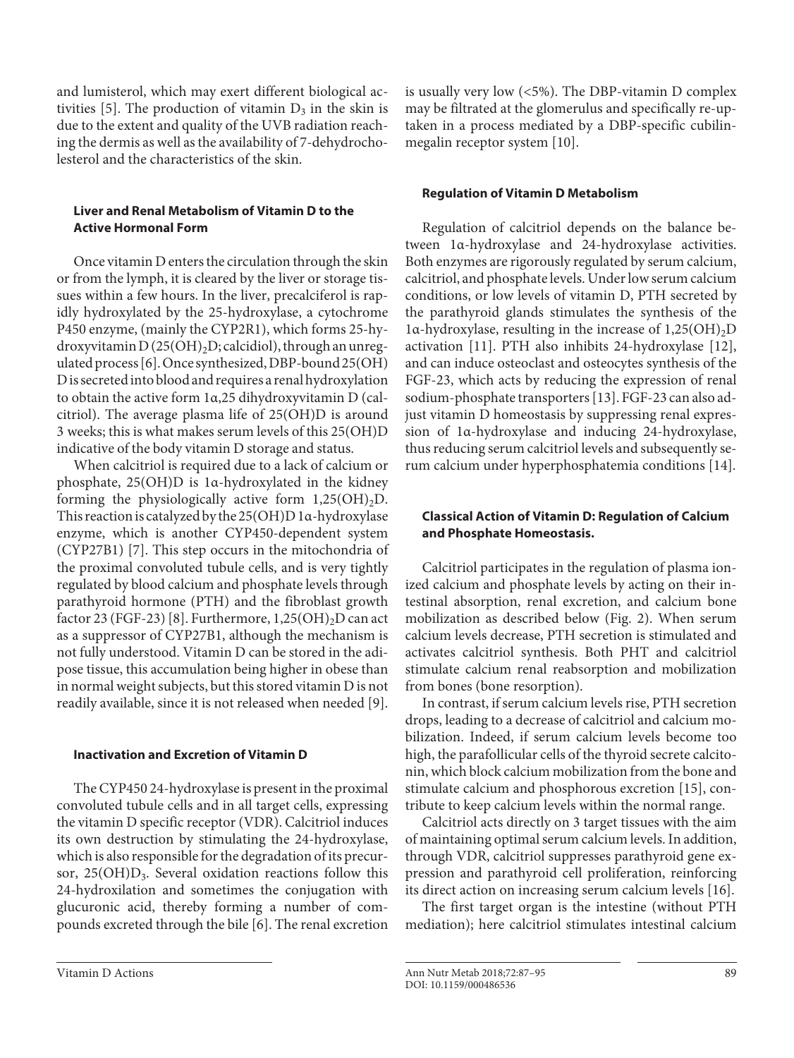and lumisterol, which may exert different biological activities [5]. The production of vitamin  $D_3$  in the skin is due to the extent and quality of the UVB radiation reaching the dermis as well as the availability of 7-dehydrocholesterol and the characteristics of the skin.

# **Liver and Renal Metabolism of Vitamin D to the Active Hormonal Form**

Once vitamin D enters the circulation through the skin or from the lymph, it is cleared by the liver or storage tissues within a few hours. In the liver, precalciferol is rapidly hydroxylated by the 25-hydroxylase, a cytochrome P450 enzyme, (mainly the CYP2R1), which forms 25-hydroxyvitamin D $(25(OH), D;$  calcidiol), through an unregulated process [6]. Once synthesized, DBP-bound 25(OH) D is secreted into blood and requires a renal hydroxylation to obtain the active form 1α,25 dihydroxyvitamin D (calcitriol). The average plasma life of 25(OH)D is around 3 weeks; this is what makes serum levels of this 25(OH)D indicative of the body vitamin D storage and status.

When calcitriol is required due to a lack of calcium or phosphate, 25(OH)D is 1α-hydroxylated in the kidney forming the physiologically active form  $1,25(OH)_2D$ . This reaction is catalyzed by the 25(OH)D 1α-hydroxylase enzyme, which is another CYP450-dependent system (CYP27B1) [7]. This step occurs in the mitochondria of the proximal convoluted tubule cells, and is very tightly regulated by blood calcium and phosphate levels through parathyroid hormone (PTH) and the fibroblast growth factor 23 (FGF-23) [8]. Furthermore,  $1,25(OH)_2D$  can act as a suppressor of CYP27B1, although the mechanism is not fully understood. Vitamin D can be stored in the adipose tissue, this accumulation being higher in obese than in normal weight subjects, but this stored vitamin D is not readily available, since it is not released when needed [9].

#### **Inactivation and Excretion of Vitamin D**

The CYP450 24-hydroxylase is present in the proximal convoluted tubule cells and in all target cells, expressing the vitamin D specific receptor (VDR). Calcitriol induces its own destruction by stimulating the 24-hydroxylase, which is also responsible for the degradation of its precursor, 25(OH)D<sub>3</sub>. Several oxidation reactions follow this 24-hydroxilation and sometimes the conjugation with glucuronic acid, thereby forming a number of compounds excreted through the bile [6]. The renal excretion is usually very low (<5%). The DBP-vitamin D complex may be filtrated at the glomerulus and specifically re-uptaken in a process mediated by a DBP-specific cubilinmegalin receptor system [10].

#### **Regulation of Vitamin D Metabolism**

Regulation of calcitriol depends on the balance between 1α-hydroxylase and 24-hydroxylase activities. Both enzymes are rigorously regulated by serum calcium, calcitriol, and phosphate levels. Under low serum calcium conditions, or low levels of vitamin D, PTH secreted by the parathyroid glands stimulates the synthesis of the 1α-hydroxylase, resulting in the increase of  $1,25(OH)_{2}D$ activation [11]. PTH also inhibits 24-hydroxylase [12], and can induce osteoclast and osteocytes synthesis of the FGF-23, which acts by reducing the expression of renal sodium-phosphate transporters [13]. FGF-23 can also adjust vitamin D homeostasis by suppressing renal expression of 1α-hydroxylase and inducing 24-hydroxylase, thus reducing serum calcitriol levels and subsequently serum calcium under hyperphosphatemia conditions [14].

# **Classical Action of Vitamin D: Regulation of Calcium and Phosphate Homeostasis.**

Calcitriol participates in the regulation of plasma ionized calcium and phosphate levels by acting on their intestinal absorption, renal excretion, and calcium bone mobilization as described below (Fig. 2). When serum calcium levels decrease, PTH secretion is stimulated and activates calcitriol synthesis. Both PHT and calcitriol stimulate calcium renal reabsorption and mobilization from bones (bone resorption).

In contrast, if serum calcium levels rise, PTH secretion drops, leading to a decrease of calcitriol and calcium mobilization. Indeed, if serum calcium levels become too high, the parafollicular cells of the thyroid secrete calcitonin, which block calcium mobilization from the bone and stimulate calcium and phosphorous excretion [15], contribute to keep calcium levels within the normal range.

Calcitriol acts directly on 3 target tissues with the aim of maintaining optimal serum calcium levels. In addition, through VDR, calcitriol suppresses parathyroid gene expression and parathyroid cell proliferation, reinforcing its direct action on increasing serum calcium levels [16].

The first target organ is the intestine (without PTH mediation); here calcitriol stimulates intestinal calcium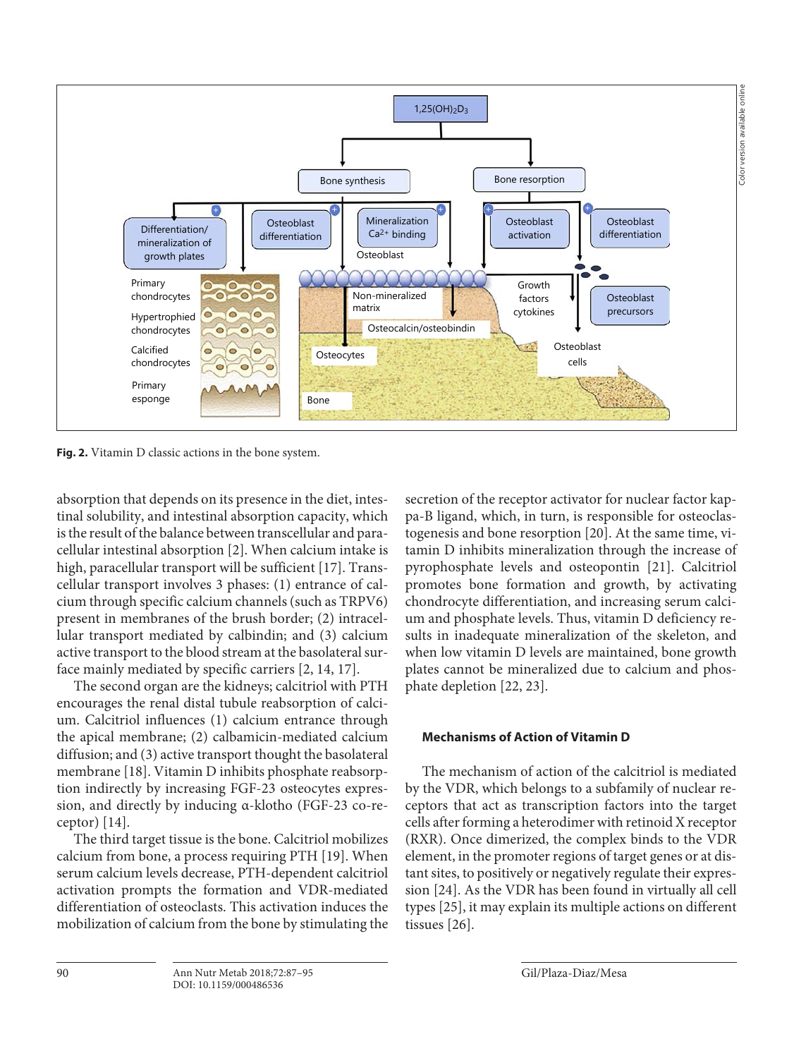

**Fig. 2.** Vitamin D classic actions in the bone system.

absorption that depends on its presence in the diet, intestinal solubility, and intestinal absorption capacity, which is the result of the balance between transcellular and paracellular intestinal absorption [2]. When calcium intake is high, paracellular transport will be sufficient [17]. Transcellular transport involves 3 phases: (1) entrance of calcium through specific calcium channels (such as TRPV6) present in membranes of the brush border; (2) intracellular transport mediated by calbindin; and (3) calcium active transport to the blood stream at the basolateral surface mainly mediated by specific carriers [2, 14, 17].

The second organ are the kidneys; calcitriol with PTH encourages the renal distal tubule reabsorption of calcium. Calcitriol influences (1) calcium entrance through the apical membrane; (2) calbamicin-mediated calcium diffusion; and (3) active transport thought the basolateral membrane [18]. Vitamin D inhibits phosphate reabsorption indirectly by increasing FGF-23 osteocytes expression, and directly by inducing α-klotho (FGF-23 co-receptor) [14].

The third target tissue is the bone. Calcitriol mobilizes calcium from bone, a process requiring PTH [19]. When serum calcium levels decrease, PTH-dependent calcitriol activation prompts the formation and VDR-mediated differentiation of osteoclasts. This activation induces the mobilization of calcium from the bone by stimulating the

secretion of the receptor activator for nuclear factor kappa-B ligand, which, in turn, is responsible for osteoclastogenesis and bone resorption [20]. At the same time, vitamin D inhibits mineralization through the increase of pyrophosphate levels and osteopontin [21]. Calcitriol promotes bone formation and growth, by activating chondrocyte differentiation, and increasing serum calcium and phosphate levels. Thus, vitamin D deficiency results in inadequate mineralization of the skeleton, and when low vitamin D levels are maintained, bone growth plates cannot be mineralized due to calcium and phosphate depletion [22, 23].

# **Mechanisms of Action of Vitamin D**

The mechanism of action of the calcitriol is mediated by the VDR, which belongs to a subfamily of nuclear receptors that act as transcription factors into the target cells after forming a heterodimer with retinoid X receptor (RXR). Once dimerized, the complex binds to the VDR element, in the promoter regions of target genes or at distant sites, to positively or negatively regulate their expression [24]. As the VDR has been found in virtually all cell types [25], it may explain its multiple actions on different tissues [26].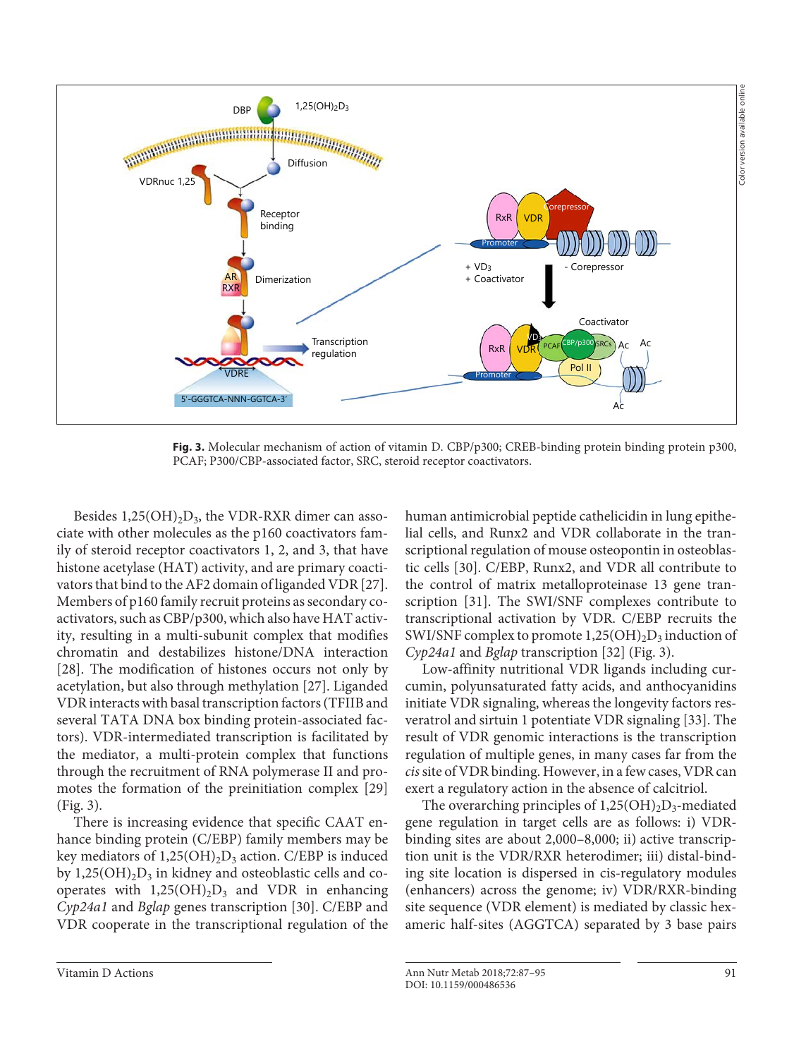

**Fig. 3.** Molecular mechanism of action of vitamin D. CBP/p300; CREB-binding protein binding protein p300, PCAF; P300/CBP-associated factor, SRC, steroid receptor coactivators.

Besides  $1,25(OH)<sub>2</sub>D<sub>3</sub>$ , the VDR-RXR dimer can associate with other molecules as the p160 coactivators family of steroid receptor coactivators 1, 2, and 3, that have histone acetylase (HAT) activity, and are primary coactivators that bind to the AF2 domain of liganded VDR [27]. Members of p160 family recruit proteins as secondary coactivators, such as CBP/p300, which also have HAT activity, resulting in a multi-subunit complex that modifies chromatin and destabilizes histone/DNA interaction [28]. The modification of histones occurs not only by acetylation, but also through methylation [27]. Liganded VDR interacts with basal transcription factors (TFIIB and several TATA DNA box binding protein-associated factors). VDR-intermediated transcription is facilitated by the mediator, a multi-protein complex that functions through the recruitment of RNA polymerase II and promotes the formation of the preinitiation complex [29] (Fig. 3).

There is increasing evidence that specific CAAT enhance binding protein (C/EBP) family members may be key mediators of  $1,25(OH)<sub>2</sub>D<sub>3</sub>$  action. C/EBP is induced by  $1,25(OH)<sub>2</sub>D<sub>3</sub>$  in kidney and osteoblastic cells and cooperates with  $1,25(OH)_2D_3$  and VDR in enhancing *Cyp24a1* and *Bglap* genes transcription [30]. C/EBP and VDR cooperate in the transcriptional regulation of the human antimicrobial peptide cathelicidin in lung epithelial cells, and Runx2 and VDR collaborate in the transcriptional regulation of mouse osteopontin in osteoblastic cells [30]. C/EBP, Runx2, and VDR all contribute to the control of matrix metalloproteinase 13 gene transcription [31]. The SWI/SNF complexes contribute to transcriptional activation by VDR. C/EBP recruits the SWI/SNF complex to promote  $1,25(OH)_2D_3$  induction of *Cyp24a1* and *Bglap* transcription [32] (Fig. 3).

Low-affinity nutritional VDR ligands including curcumin, polyunsaturated fatty acids, and anthocyanidins initiate VDR signaling, whereas the longevity factors resveratrol and sirtuin 1 potentiate VDR signaling [33]. The result of VDR genomic interactions is the transcription regulation of multiple genes, in many cases far from the *cis* site of VDR binding. However, in a few cases, VDR can exert a regulatory action in the absence of calcitriol.

The overarching principles of  $1,25(OH)_2D_3$ -mediated gene regulation in target cells are as follows: i) VDRbinding sites are about 2,000–8,000; ii) active transcription unit is the VDR/RXR heterodimer; iii) distal-binding site location is dispersed in cis*-*regulatory modules (enhancers) across the genome; iv) VDR/RXR-binding site sequence (VDR element) is mediated by classic hexameric half-sites (AGGTCA) separated by 3 base pairs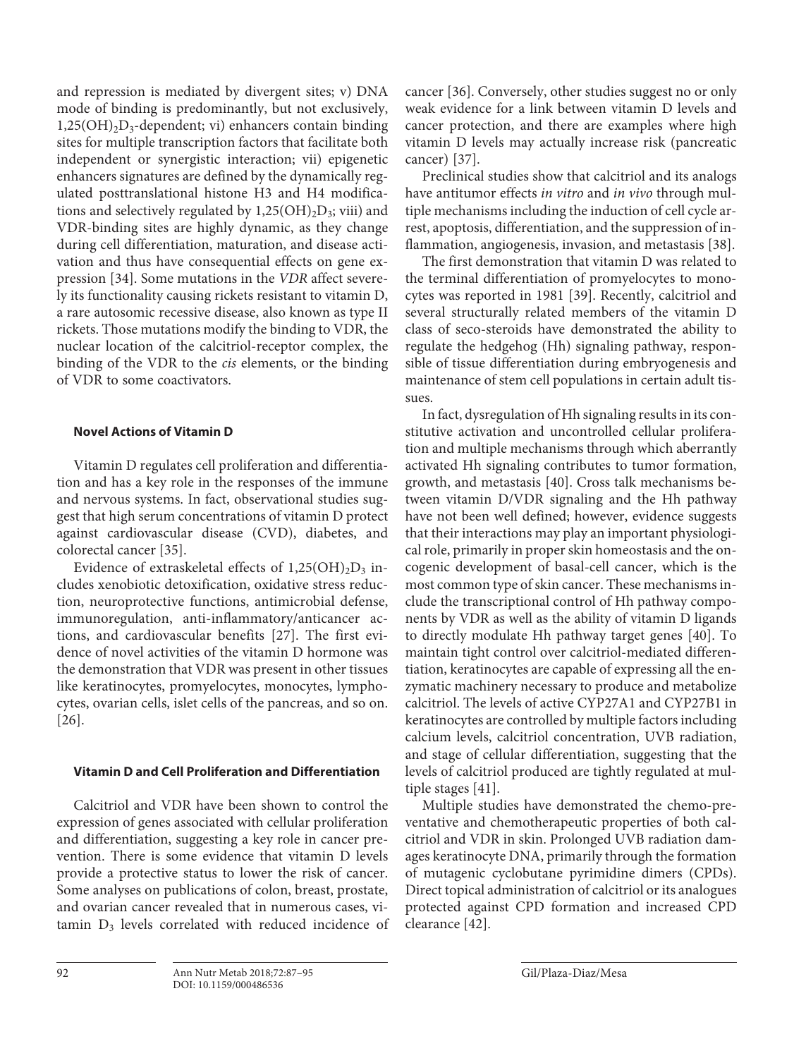and repression is mediated by divergent sites; v) DNA mode of binding is predominantly, but not exclusively,  $1,25(OH)<sub>2</sub>D<sub>3</sub>$ -dependent; vi) enhancers contain binding sites for multiple transcription factors that facilitate both independent or synergistic interaction; vii) epigenetic enhancers signatures are defined by the dynamically regulated posttranslational histone H3 and H4 modifications and selectively regulated by  $1,25(OH)_2D_3$ ; viii) and VDR-binding sites are highly dynamic, as they change during cell differentiation, maturation, and disease activation and thus have consequential effects on gene expression [34]. Some mutations in the *VDR* affect severely its functionality causing rickets resistant to vitamin D, a rare autosomic recessive disease, also known as type II rickets. Those mutations modify the binding to VDR, the nuclear location of the calcitriol-receptor complex, the binding of the VDR to the *cis* elements, or the binding of VDR to some coactivators.

#### **Novel Actions of Vitamin D**

Vitamin D regulates cell proliferation and differentiation and has a key role in the responses of the immune and nervous systems. In fact, observational studies suggest that high serum concentrations of vitamin D protect against cardiovascular disease (CVD), diabetes, and colorectal cancer [35].

Evidence of extraskeletal effects of  $1,25(OH)_2D_3$  includes xenobiotic detoxification, oxidative stress reduction, neuroprotective functions, antimicrobial defense, immunoregulation, anti-inflammatory/anticancer actions, and cardiovascular benefits [27]. The first evidence of novel activities of the vitamin D hormone was the demonstration that VDR was present in other tissues like keratinocytes, promyelocytes, monocytes, lymphocytes, ovarian cells, islet cells of the pancreas, and so on. [26].

#### **Vitamin D and Cell Proliferation and Differentiation**

Calcitriol and VDR have been shown to control the expression of genes associated with cellular proliferation and differentiation, suggesting a key role in cancer prevention. There is some evidence that vitamin D levels provide a protective status to lower the risk of cancer. Some analyses on publications of colon, breast, prostate, and ovarian cancer revealed that in numerous cases, vi $t_{\text{amin}}$   $D_3$  levels correlated with reduced incidence of cancer [36]. Conversely, other studies suggest no or only weak evidence for a link between vitamin D levels and cancer protection, and there are examples where high vitamin D levels may actually increase risk (pancreatic cancer) [37].

Preclinical studies show that calcitriol and its analogs have antitumor effects *in vitro* and *in vivo* through multiple mechanisms including the induction of cell cycle arrest, apoptosis, differentiation, and the suppression of inflammation, angiogenesis, invasion, and metastasis [38].

The first demonstration that vitamin D was related to the terminal differentiation of promyelocytes to monocytes was reported in 1981 [39]. Recently, calcitriol and several structurally related members of the vitamin D class of seco-steroids have demonstrated the ability to regulate the hedgehog (Hh) signaling pathway, responsible of tissue differentiation during embryogenesis and maintenance of stem cell populations in certain adult tissues.

In fact, dysregulation of Hh signaling results in its constitutive activation and uncontrolled cellular proliferation and multiple mechanisms through which aberrantly activated Hh signaling contributes to tumor formation, growth, and metastasis [40]. Cross talk mechanisms between vitamin D/VDR signaling and the Hh pathway have not been well defined; however, evidence suggests that their interactions may play an important physiological role, primarily in proper skin homeostasis and the oncogenic development of basal-cell cancer, which is the most common type of skin cancer. These mechanisms include the transcriptional control of Hh pathway components by VDR as well as the ability of vitamin D ligands to directly modulate Hh pathway target genes [40]. To maintain tight control over calcitriol-mediated differentiation, keratinocytes are capable of expressing all the enzymatic machinery necessary to produce and metabolize calcitriol. The levels of active CYP27A1 and CYP27B1 in keratinocytes are controlled by multiple factors including calcium levels, calcitriol concentration, UVB radiation, and stage of cellular differentiation, suggesting that the levels of calcitriol produced are tightly regulated at multiple stages [41].

Multiple studies have demonstrated the chemo-preventative and chemotherapeutic properties of both calcitriol and VDR in skin. Prolonged UVB radiation damages keratinocyte DNA, primarily through the formation of mutagenic cyclobutane pyrimidine dimers (CPDs). Direct topical administration of calcitriol or its analogues protected against CPD formation and increased CPD clearance [42].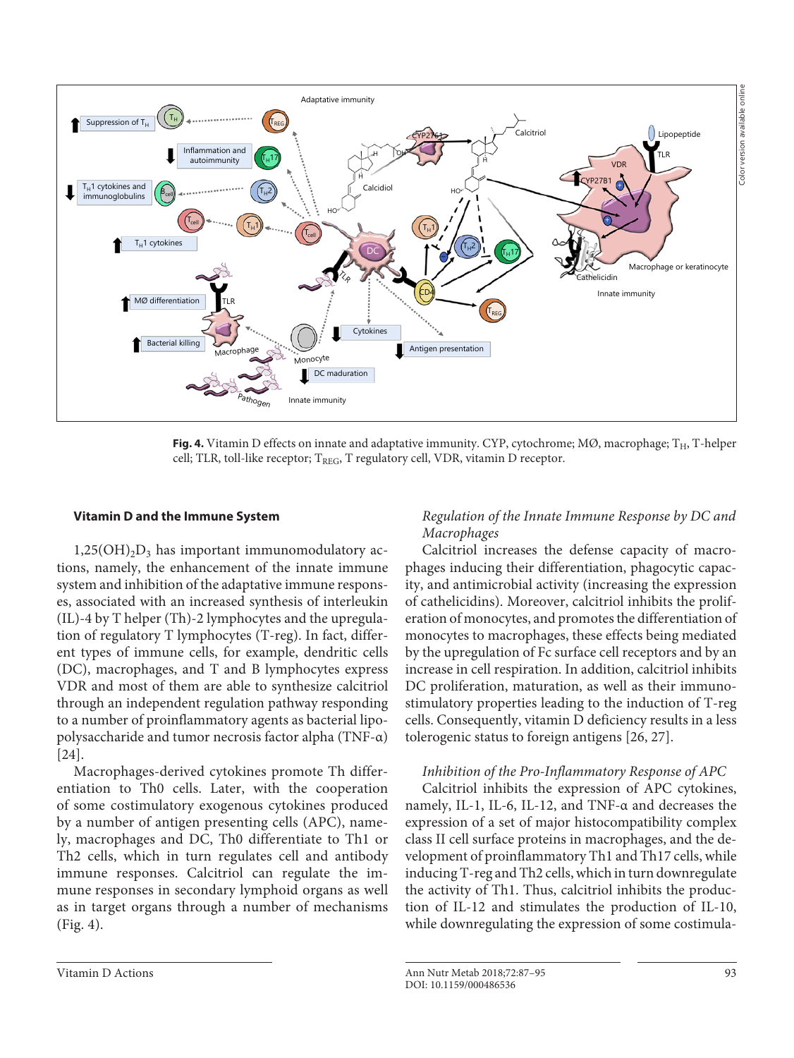

**Fig. 4.** Vitamin D effects on innate and adaptative immunity. CYP, cytochrome; MØ, macrophage; T<sub>H</sub>, T-helper cell; TLR, toll-like receptor;  $T_{REG}$ , T regulatory cell, VDR, vitamin D receptor.

#### **Vitamin D and the Immune System**

 $1,25(OH)<sub>2</sub>D<sub>3</sub>$  has important immunomodulatory actions, namely, the enhancement of the innate immune system and inhibition of the adaptative immune responses, associated with an increased synthesis of interleukin (IL)-4 by T helper (Th)-2 lymphocytes and the upregulation of regulatory T lymphocytes (T-reg). In fact, different types of immune cells, for example, dendritic cells (DC), macrophages, and T and B lymphocytes express VDR and most of them are able to synthesize calcitriol through an independent regulation pathway responding to a number of proinflammatory agents as bacterial lipopolysaccharide and tumor necrosis factor alpha (TNF-α) [24].

Macrophages-derived cytokines promote Th differentiation to Th0 cells. Later, with the cooperation of some costimulatory exogenous cytokines produced by a number of antigen presenting cells (APC), namely, macrophages and DC, Th0 differentiate to Th1 or Th2 cells, which in turn regulates cell and antibody immune responses. Calcitriol can regulate the immune responses in secondary lymphoid organs as well as in target organs through a number of mechanisms (Fig. 4).

# *Regulation of the Innate Immune Response by DC and Macrophages*

Calcitriol increases the defense capacity of macrophages inducing their differentiation, phagocytic capacity, and antimicrobial activity (increasing the expression of cathelicidins). Moreover, calcitriol inhibits the proliferation of monocytes, and promotes the differentiation of monocytes to macrophages, these effects being mediated by the upregulation of Fc surface cell receptors and by an increase in cell respiration. In addition, calcitriol inhibits DC proliferation, maturation, as well as their immunostimulatory properties leading to the induction of T-reg cells. Consequently, vitamin D deficiency results in a less tolerogenic status to foreign antigens [26, 27].

# *Inhibition of the Pro-Inflammatory Response of APC*

Calcitriol inhibits the expression of APC cytokines, namely, IL-1, IL-6, IL-12, and TNF-α and decreases the expression of a set of major histocompatibility complex class II cell surface proteins in macrophages, and the development of proinflammatory Th1 and Th17 cells, while inducing T-reg and Th2 cells, which in turn downregulate the activity of Th1. Thus, calcitriol inhibits the production of IL-12 and stimulates the production of IL-10, while downregulating the expression of some costimula-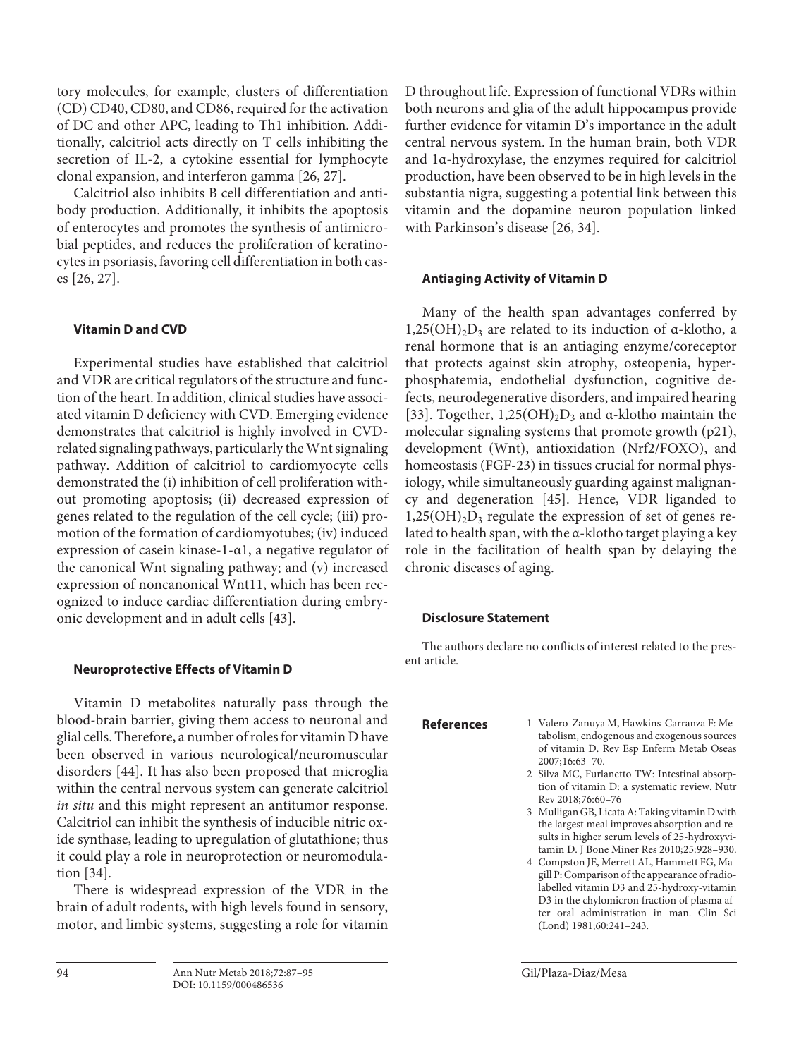tory molecules, for example, clusters of differentiation (CD) CD40, CD80, and CD86, required for the activation of DC and other APC, leading to Th1 inhibition. Additionally, calcitriol acts directly on T cells inhibiting the secretion of IL-2, a cytokine essential for lymphocyte clonal expansion, and interferon gamma [26, 27].

Calcitriol also inhibits B cell differentiation and antibody production. Additionally, it inhibits the apoptosis of enterocytes and promotes the synthesis of antimicrobial peptides, and reduces the proliferation of keratinocytes in psoriasis, favoring cell differentiation in both cases [26, 27].

#### **Vitamin D and CVD**

Experimental studies have established that calcitriol and VDR are critical regulators of the structure and function of the heart. In addition, clinical studies have associated vitamin D deficiency with CVD. Emerging evidence demonstrates that calcitriol is highly involved in CVDrelated signaling pathways, particularly the Wnt signaling pathway. Addition of calcitriol to cardiomyocyte cells demonstrated the (i) inhibition of cell proliferation without promoting apoptosis; (ii) decreased expression of genes related to the regulation of the cell cycle; (iii) promotion of the formation of cardiomyotubes; (iv) induced expression of casein kinase-1-α1, a negative regulator of the canonical Wnt signaling pathway; and (v) increased expression of noncanonical Wnt11, which has been recognized to induce cardiac differentiation during embryonic development and in adult cells [43].

# **Neuroprotective Effects of Vitamin D**

Vitamin D metabolites naturally pass through the blood-brain barrier, giving them access to neuronal and glial cells. Therefore, a number of roles for vitamin D have been observed in various neurological/neuromuscular disorders [44]. It has also been proposed that microglia within the central nervous system can generate calcitriol *in situ* and this might represent an antitumor response. Calcitriol can inhibit the synthesis of inducible nitric oxide synthase, leading to upregulation of glutathione; thus it could play a role in neuroprotection or neuromodulation [34].

There is widespread expression of the VDR in the brain of adult rodents, with high levels found in sensory, motor, and limbic systems, suggesting a role for vitamin

D throughout life. Expression of functional VDRs within both neurons and glia of the adult hippocampus provide further evidence for vitamin D's importance in the adult central nervous system. In the human brain, both VDR and 1α-hydroxylase, the enzymes required for calcitriol production, have been observed to be in high levels in the substantia nigra, suggesting a potential link between this vitamin and the dopamine neuron population linked with Parkinson's disease [26, 34].

# **Antiaging Activity of Vitamin D**

Many of the health span advantages conferred by  $1,25(OH)_{2}D_{3}$  are related to its induction of  $\alpha$ -klotho, a renal hormone that is an antiaging enzyme/coreceptor that protects against skin atrophy, osteopenia, hyperphosphatemia, endothelial dysfunction, cognitive defects, neurodegenerative disorders, and impaired hearing [33]. Together,  $1,25(OH)_{2}D_{3}$  and  $\alpha$ -klotho maintain the molecular signaling systems that promote growth (p21), development (Wnt), antioxidation (Nrf2/FOXO), and homeostasis (FGF-23) in tissues crucial for normal physiology, while simultaneously guarding against malignancy and degeneration [45]. Hence, VDR liganded to  $1,25(OH)<sub>2</sub>D<sub>3</sub>$  regulate the expression of set of genes related to health span, with the α-klotho target playing a key role in the facilitation of health span by delaying the chronic diseases of aging.

# **Disclosure Statement**

The authors declare no conflicts of interest related to the present article.

**References**

- 1 Valero-Zanuya M, Hawkins-Carranza F: Metabolism, endogenous and exogenous sources of vitamin D. Rev Esp Enferm Metab Oseas 2007;16:63–70.
- 2 Silva MC, Furlanetto TW: Intestinal absorption of vitamin D: a systematic review. Nutr Rev 2018;76:60–76
- 3 Mulligan GB, Licata A: Taking vitamin D with the largest meal improves absorption and results in higher serum levels of 25-hydroxyvitamin D. J Bone Miner Res 2010;25:928–930.
- 4 Compston JE, Merrett AL, Hammett FG, Magill P: Comparison of the appearance of radiolabelled vitamin D3 and 25-hydroxy-vitamin D3 in the chylomicron fraction of plasma after oral administration in man. Clin Sci (Lond) 1981;60:241–243.